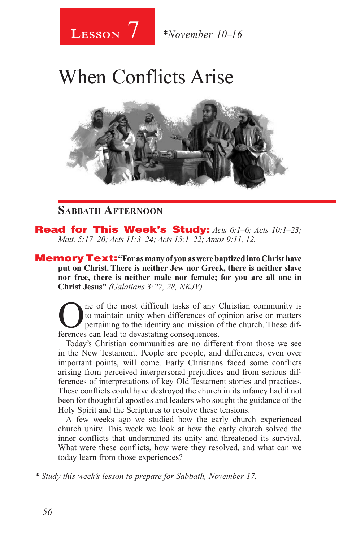

## When Conflicts Arise



## **Sabbath Afternoon**

Read for This Week's Study: *Acts 6:1–6; Acts 10:1–23; Matt. 5:17–20; Acts 11:3–24; Acts 15:1–22; Amos 9:11, 12.*

MemoryText: **"For as many of you as were baptized into Christ have put on Christ. There is neither Jew nor Greek, there is neither slave nor free, there is neither male nor female; for you are all one in Christ Jesus"** *(Galatians 3:27, 28, NKJV).* 

One of the most difficult tasks of any Christian community is<br>to maintain unity when differences of opinion arise on matters<br>pertaining to the identity and mission of the church. These dif-<br>ferences can lead to deventating to maintain unity when differences of opinion arise on matters pertaining to the identity and mission of the church. These differences can lead to devastating consequences.

Today's Christian communities are no different from those we see in the New Testament. People are people, and differences, even over important points, will come. Early Christians faced some conflicts arising from perceived interpersonal prejudices and from serious differences of interpretations of key Old Testament stories and practices. These conflicts could have destroyed the church in its infancy had it not been for thoughtful apostles and leaders who sought the guidance of the Holy Spirit and the Scriptures to resolve these tensions.

A few weeks ago we studied how the early church experienced church unity. This week we look at how the early church solved the inner conflicts that undermined its unity and threatened its survival. What were these conflicts, how were they resolved, and what can we today learn from those experiences?

*\* Study this week's lesson to prepare for Sabbath, November 17.*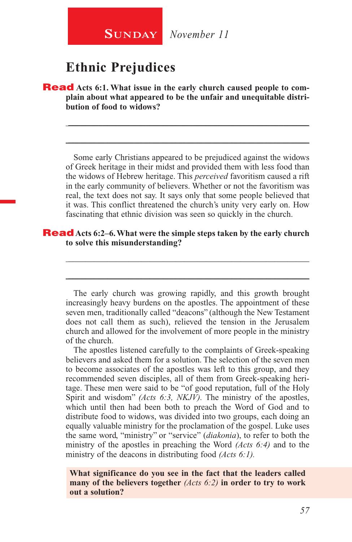

## **Ethnic Prejudices**

**Read** Acts 6:1. What issue in the early church caused people to com**plain about what appeared to be the unfair and unequitable distribution of food to widows?**

Some early Christians appeared to be prejudiced against the widows of Greek heritage in their midst and provided them with less food than the widows of Hebrew heritage. This *perceived* favoritism caused a rift in the early community of believers. Whether or not the favoritism was real, the text does not say. It says only that some people believed that it was. This conflict threatened the church's unity very early on. How fascinating that ethnic division was seen so quickly in the church.

\_\_\_\_\_\_\_\_\_\_\_\_\_\_\_\_\_\_\_\_\_\_\_\_\_\_\_\_\_\_\_\_\_\_\_\_\_\_\_\_\_\_\_\_\_\_\_\_\_\_\_\_\_\_\_\_

\_\_\_\_\_\_\_\_\_\_\_\_\_\_\_\_\_\_\_\_\_\_\_\_\_\_\_\_\_\_\_\_\_\_\_\_\_\_\_\_\_\_\_\_\_\_\_\_\_\_\_\_\_\_\_\_

#### Read **Acts 6:2–6. What were the simple steps taken by the early church to solve this misunderstanding?**

The early church was growing rapidly, and this growth brought increasingly heavy burdens on the apostles. The appointment of these seven men, traditionally called "deacons" (although the New Testament does not call them as such), relieved the tension in the Jerusalem church and allowed for the involvement of more people in the ministry of the church.

\_\_\_\_\_\_\_\_\_\_\_\_\_\_\_\_\_\_\_\_\_\_\_\_\_\_\_\_\_\_\_\_\_\_\_\_\_\_\_\_\_\_\_\_\_\_\_\_\_\_\_\_\_\_\_\_

\_\_\_\_\_\_\_\_\_\_\_\_\_\_\_\_\_\_\_\_\_\_\_\_\_\_\_\_\_\_\_\_\_\_\_\_\_\_\_\_\_\_\_\_\_\_\_\_\_\_\_\_\_\_\_\_

The apostles listened carefully to the complaints of Greek-speaking believers and asked them for a solution. The selection of the seven men to become associates of the apostles was left to this group, and they recommended seven disciples, all of them from Greek-speaking heritage. These men were said to be "of good reputation, full of the Holy Spirit and wisdom" *(Acts 6:3, NKJV)*. The ministry of the apostles, which until then had been both to preach the Word of God and to distribute food to widows, was divided into two groups, each doing an equally valuable ministry for the proclamation of the gospel. Luke uses the same word, "ministry" or "service" (*diakonia*), to refer to both the ministry of the apostles in preaching the Word *(Acts 6:4)* and to the ministry of the deacons in distributing food *(Acts 6:1).*

**What significance do you see in the fact that the leaders called many of the believers together** *(Acts 6:2)* **in order to try to work out a solution?**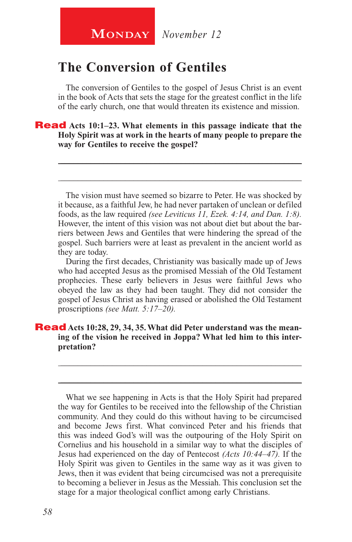## **The Conversion of Gentiles**

The conversion of Gentiles to the gospel of Jesus Christ is an event in the book of Acts that sets the stage for the greatest conflict in the life of the early church, one that would threaten its existence and mission.

Read **Acts 10:1–23. What elements in this passage indicate that the Holy Spirit was at work in the hearts of many people to prepare the way for Gentiles to receive the gospel?**

The vision must have seemed so bizarre to Peter. He was shocked by it because, as a faithful Jew, he had never partaken of unclean or defiled foods, as the law required *(see Leviticus 11, Ezek. 4:14, and Dan. 1:8).*  However, the intent of this vision was not about diet but about the barriers between Jews and Gentiles that were hindering the spread of the gospel. Such barriers were at least as prevalent in the ancient world as they are today.

\_\_\_\_\_\_\_\_\_\_\_\_\_\_\_\_\_\_\_\_\_\_\_\_\_\_\_\_\_\_\_\_\_\_\_\_\_\_\_\_\_\_\_\_\_\_\_\_\_\_\_\_\_\_\_\_

\_\_\_\_\_\_\_\_\_\_\_\_\_\_\_\_\_\_\_\_\_\_\_\_\_\_\_\_\_\_\_\_\_\_\_\_\_\_\_\_\_\_\_\_\_\_\_\_\_\_\_\_\_\_\_\_

During the first decades, Christianity was basically made up of Jews who had accepted Jesus as the promised Messiah of the Old Testament prophecies. These early believers in Jesus were faithful Jews who obeyed the law as they had been taught. They did not consider the gospel of Jesus Christ as having erased or abolished the Old Testament proscriptions *(see Matt. 5:17–20).*

\_\_\_\_\_\_\_\_\_\_\_\_\_\_\_\_\_\_\_\_\_\_\_\_\_\_\_\_\_\_\_\_\_\_\_\_\_\_\_\_\_\_\_\_\_\_\_\_\_\_\_\_\_\_\_\_

\_\_\_\_\_\_\_\_\_\_\_\_\_\_\_\_\_\_\_\_\_\_\_\_\_\_\_\_\_\_\_\_\_\_\_\_\_\_\_\_\_\_\_\_\_\_\_\_\_\_\_\_\_\_\_\_

#### **Read** Acts 10:28, 29, 34, 35. What did Peter understand was the mean**ing of the vision he received in Joppa? What led him to this interpretation?**

What we see happening in Acts is that the Holy Spirit had prepared the way for Gentiles to be received into the fellowship of the Christian community. And they could do this without having to be circumcised and become Jews first. What convinced Peter and his friends that this was indeed God's will was the outpouring of the Holy Spirit on Cornelius and his household in a similar way to what the disciples of Jesus had experienced on the day of Pentecost *(Acts 10:44–47).* If the Holy Spirit was given to Gentiles in the same way as it was given to Jews, then it was evident that being circumcised was not a prerequisite to becoming a believer in Jesus as the Messiah. This conclusion set the stage for a major theological conflict among early Christians.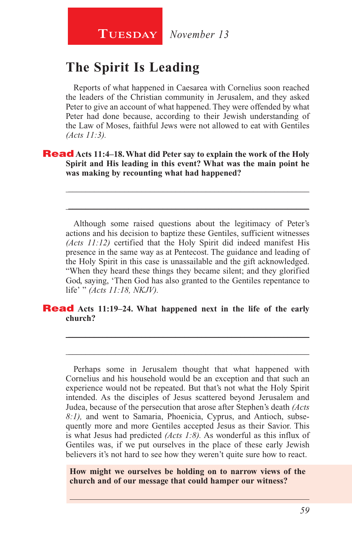## **The Spirit Is Leading**

Reports of what happened in Caesarea with Cornelius soon reached the leaders of the Christian community in Jerusalem, and they asked Peter to give an account of what happened. They were offended by what Peter had done because, according to their Jewish understanding of the Law of Moses, faithful Jews were not allowed to eat with Gentiles *(Acts 11:3).*

Read **Acts 11:4–18. What did Peter say to explain the work of the Holy Spirit and His leading in this event? What was the main point he was making by recounting what had happened?**

Although some raised questions about the legitimacy of Peter's actions and his decision to baptize these Gentiles, sufficient witnesses *(Acts 11:12)* certified that the Holy Spirit did indeed manifest His presence in the same way as at Pentecost. The guidance and leading of the Holy Spirit in this case is unassailable and the gift acknowledged. "When they heard these things they became silent; and they glorified God, saying, 'Then God has also granted to the Gentiles repentance to life' " *(Acts 11:18, NKJV).*

\_\_\_\_\_\_\_\_\_\_\_\_\_\_\_\_\_\_\_\_\_\_\_\_\_\_\_\_\_\_\_\_\_\_\_\_\_\_\_\_\_\_\_\_\_\_\_\_\_\_\_\_\_\_\_\_

\_\_\_\_\_\_\_\_\_\_\_\_\_\_\_\_\_\_\_\_\_\_\_\_\_\_\_\_\_\_\_\_\_\_\_\_\_\_\_\_\_\_\_\_\_\_\_\_\_\_\_\_\_\_\_\_

\_\_\_\_\_\_\_\_\_\_\_\_\_\_\_\_\_\_\_\_\_\_\_\_\_\_\_\_\_\_\_\_\_\_\_\_\_\_\_\_\_\_\_\_\_\_\_\_\_\_\_\_\_\_\_\_

\_\_\_\_\_\_\_\_\_\_\_\_\_\_\_\_\_\_\_\_\_\_\_\_\_\_\_\_\_\_\_\_\_\_\_\_\_\_\_\_\_\_\_\_\_\_\_\_\_\_\_\_\_\_\_\_

#### Read **Acts 11:19–24. What happened next in the life of the early church?**

Perhaps some in Jerusalem thought that what happened with Cornelius and his household would be an exception and that such an experience would not be repeated. But that's not what the Holy Spirit intended. As the disciples of Jesus scattered beyond Jerusalem and Judea, because of the persecution that arose after Stephen's death *(Acts 8:1),* and went to Samaria, Phoenicia, Cyprus, and Antioch, subsequently more and more Gentiles accepted Jesus as their Savior. This is what Jesus had predicted *(Acts 1:8).* As wonderful as this influx of Gentiles was, if we put ourselves in the place of these early Jewish believers it's not hard to see how they weren't quite sure how to react.

**How might we ourselves be holding on to narrow views of the church and of our message that could hamper our witness?**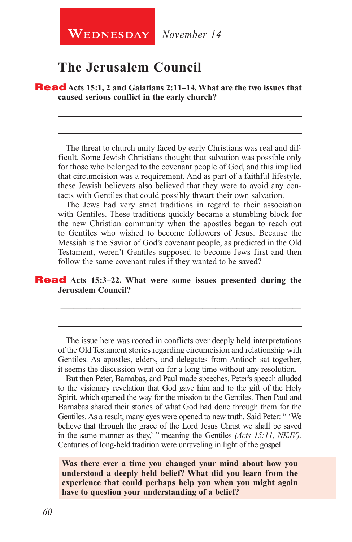**WEDNESDAY** November 14

## **The Jerusalem Council**

Read **Acts 15:1, 2 and Galatians 2:11–14. What are the two issues that caused serious conflict in the early church?** 

The threat to church unity faced by early Christians was real and difficult. Some Jewish Christians thought that salvation was possible only for those who belonged to the covenant people of God, and this implied that circumcision was a requirement. And as part of a faithful lifestyle, these Jewish believers also believed that they were to avoid any contacts with Gentiles that could possibly thwart their own salvation.

\_\_\_\_\_\_\_\_\_\_\_\_\_\_\_\_\_\_\_\_\_\_\_\_\_\_\_\_\_\_\_\_\_\_\_\_\_\_\_\_\_\_\_\_\_\_\_\_\_\_\_\_\_\_\_\_

\_\_\_\_\_\_\_\_\_\_\_\_\_\_\_\_\_\_\_\_\_\_\_\_\_\_\_\_\_\_\_\_\_\_\_\_\_\_\_\_\_\_\_\_\_\_\_\_\_\_\_\_\_\_\_\_

The Jews had very strict traditions in regard to their association with Gentiles. These traditions quickly became a stumbling block for the new Christian community when the apostles began to reach out to Gentiles who wished to become followers of Jesus. Because the Messiah is the Savior of God's covenant people, as predicted in the Old Testament, weren't Gentiles supposed to become Jews first and then follow the same covenant rules if they wanted to be saved?

#### **Read** Acts 15:3–22. What were some issues presented during the **Jerusalem Council?**

The issue here was rooted in conflicts over deeply held interpretations of the Old Testament stories regarding circumcision and relationship with Gentiles. As apostles, elders, and delegates from Antioch sat together, it seems the discussion went on for a long time without any resolution.

\_\_\_\_\_\_\_\_\_\_\_\_\_\_\_\_\_\_\_\_\_\_\_\_\_\_\_\_\_\_\_\_\_\_\_\_\_\_\_\_\_\_\_\_\_\_\_\_\_\_\_\_\_\_\_\_

\_\_\_\_\_\_\_\_\_\_\_\_\_\_\_\_\_\_\_\_\_\_\_\_\_\_\_\_\_\_\_\_\_\_\_\_\_\_\_\_\_\_\_\_\_\_\_\_\_\_\_\_\_\_\_\_

But then Peter, Barnabas, and Paul made speeches. Peter's speech alluded to the visionary revelation that God gave him and to the gift of the Holy Spirit, which opened the way for the mission to the Gentiles. Then Paul and Barnabas shared their stories of what God had done through them for the Gentiles. As a result, many eyes were opened to new truth. Said Peter: " 'We believe that through the grace of the Lord Jesus Christ we shall be saved in the same manner as they,' " meaning the Gentiles *(Acts 15:11, NKJV).* Centuries of long-held tradition were unraveling in light of the gospel.

**Was there ever a time you changed your mind about how you understood a deeply held belief? What did you learn from the experience that could perhaps help you when you might again have to question your understanding of a belief?**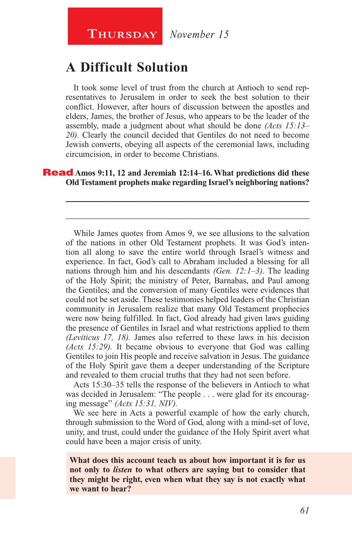## **A Difficult Solution**

It took some level of trust from the church at Antioch to send representatives to Jerusalem in order to seek the best solution to their conflict. However, after hours of discussion between the apostles and elders, James, the brother of Jesus, who appears to be the leader of the assembly, made a judgment about what should be done *(Acts 15:13– 20).* Clearly the council decided that Gentiles do not need to become Jewish converts, obeying all aspects of the ceremonial laws, including circumcision, in order to become Christians.

#### Read **Amos 9:11, 12 and Jeremiah 12:14–16. What predictions did these Old Testament prophets make regarding Israel's neighboring nations?**

\_\_\_\_\_\_\_\_\_\_\_\_\_\_\_\_\_\_\_\_\_\_\_\_\_\_\_\_\_\_\_\_\_\_\_\_\_\_\_\_\_\_\_\_\_\_\_\_\_\_\_\_\_\_\_\_

\_\_\_\_\_\_\_\_\_\_\_\_\_\_\_\_\_\_\_\_\_\_\_\_\_\_\_\_\_\_\_\_\_\_\_\_\_\_\_\_\_\_\_\_\_\_\_\_\_\_\_\_\_\_\_\_

While James quotes from Amos 9, we see allusions to the salvation of the nations in other Old Testament prophets. It was God's intention all along to save the entire world through Israel's witness and experience. In fact, God's call to Abraham included a blessing for all nations through him and his descendants *(Gen. 12:1–3).* The leading of the Holy Spirit; the ministry of Peter, Barnabas, and Paul among the Gentiles; and the conversion of many Gentiles were evidences that could not be set aside. These testimonies helped leaders of the Christian community in Jerusalem realize that many Old Testament prophecies were now being fulfilled. In fact, God already had given laws guiding the presence of Gentiles in Israel and what restrictions applied to them *(Leviticus 17, 18).* James also referred to these laws in his decision *(Acts 15:29).* It became obvious to everyone that God was calling Gentiles to join His people and receive salvation in Jesus. The guidance of the Holy Spirit gave them a deeper understanding of the Scripture and revealed to them crucial truths that they had not seen before.

Acts 15:30–35 tells the response of the believers in Antioch to what was decided in Jerusalem: "The people . . . were glad for its encouraging message" *(Acts 15:31, NIV).*

We see here in Acts a powerful example of how the early church, through submission to the Word of God, along with a mind-set of love, unity, and trust, could under the guidance of the Holy Spirit avert what could have been a major crisis of unity.

**What does this account teach us about how important it is for us not only to** *listen* **to what others are saying but to consider that they might be right, even when what they say is not exactly what we want to hear?**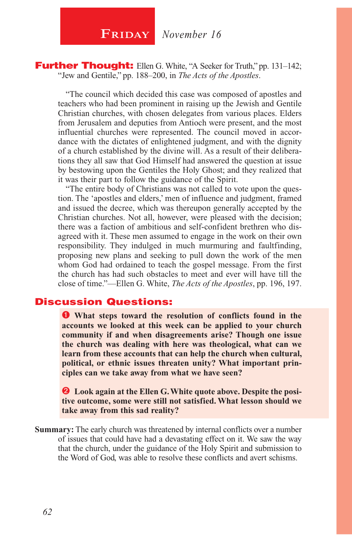**FRIDAY** November 16

Further Thought: Ellen G. White, "A Seeker for Truth," pp. 131-142; "Jew and Gentile," pp. 188–200, in *The Acts of the Apostles*.

"The council which decided this case was composed of apostles and teachers who had been prominent in raising up the Jewish and Gentile Christian churches, with chosen delegates from various places. Elders from Jerusalem and deputies from Antioch were present, and the most influential churches were represented. The council moved in accordance with the dictates of enlightened judgment, and with the dignity of a church established by the divine will. As a result of their deliberations they all saw that God Himself had answered the question at issue by bestowing upon the Gentiles the Holy Ghost; and they realized that it was their part to follow the guidance of the Spirit.

"The entire body of Christians was not called to vote upon the question. The 'apostles and elders,' men of influence and judgment, framed and issued the decree, which was thereupon generally accepted by the Christian churches. Not all, however, were pleased with the decision; there was a faction of ambitious and self-confident brethren who disagreed with it. These men assumed to engage in the work on their own responsibility. They indulged in much murmuring and faultfinding, proposing new plans and seeking to pull down the work of the men whom God had ordained to teach the gospel message. From the first the church has had such obstacles to meet and ever will have till the close of time."—Ellen G. White, *The Acts of the Apostles*, pp. 196, 197.

### Discussion Questions:

 **What steps toward the resolution of conflicts found in the accounts we looked at this week can be applied to your church community if and when disagreements arise? Though one issue the church was dealing with here was theological, what can we learn from these accounts that can help the church when cultural, political, or ethnic issues threaten unity? What important principles can we take away from what we have seen?**

 **Look again at the Ellen G. White quote above. Despite the positive outcome, some were still not satisfied. What lesson should we take away from this sad reality?**

**Summary:** The early church was threatened by internal conflicts over a number of issues that could have had a devastating effect on it. We saw the way that the church, under the guidance of the Holy Spirit and submission to the Word of God, was able to resolve these conflicts and avert schisms.